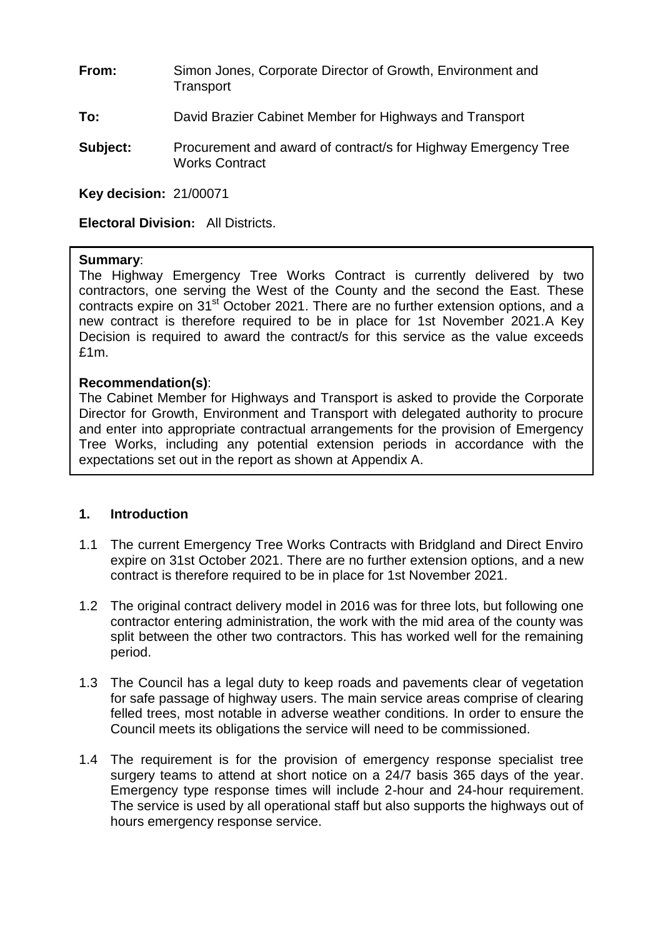- **From:** Simon Jones, Corporate Director of Growth, Environment and **Transport**
- **To:** David Brazier Cabinet Member for Highways and Transport
- **Subject:** Procurement and award of contract/s for Highway Emergency Tree Works Contract

**Key decision:** 21/00071

**Electoral Division:** All Districts.

#### **Summary**:

The Highway Emergency Tree Works Contract is currently delivered by two contractors, one serving the West of the County and the second the East. These contracts expire on 31<sup>st</sup> October 2021. There are no further extension options, and a new contract is therefore required to be in place for 1st November 2021.A Key Decision is required to award the contract/s for this service as the value exceeds £1m.

#### **Recommendation(s)**:

The Cabinet Member for Highways and Transport is asked to provide the Corporate Director for Growth, Environment and Transport with delegated authority to procure and enter into appropriate contractual arrangements for the provision of Emergency Tree Works, including any potential extension periods in accordance with the expectations set out in the report as shown at Appendix A.

### **1. Introduction**

- 1.1 The current Emergency Tree Works Contracts with Bridgland and Direct Enviro expire on 31st October 2021. There are no further extension options, and a new contract is therefore required to be in place for 1st November 2021.
- 1.2 The original contract delivery model in 2016 was for three lots, but following one contractor entering administration, the work with the mid area of the county was split between the other two contractors. This has worked well for the remaining period.
- 1.3 The Council has a legal duty to keep roads and pavements clear of vegetation for safe passage of highway users. The main service areas comprise of clearing felled trees, most notable in adverse weather conditions. In order to ensure the Council meets its obligations the service will need to be commissioned.
- 1.4 The requirement is for the provision of emergency response specialist tree surgery teams to attend at short notice on a 24/7 basis 365 days of the year. Emergency type response times will include 2-hour and 24-hour requirement. The service is used by all operational staff but also supports the highways out of hours emergency response service.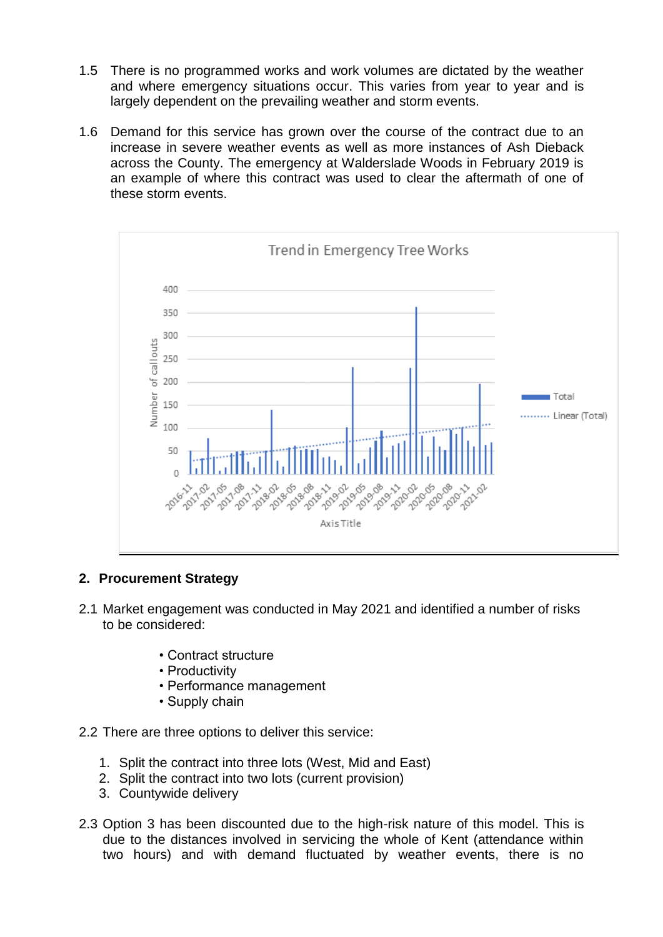- 1.5 There is no programmed works and work volumes are dictated by the weather and where emergency situations occur. This varies from year to year and is largely dependent on the prevailing weather and storm events.
- 1.6 Demand for this service has grown over the course of the contract due to an increase in severe weather events as well as more instances of Ash Dieback across the County. The emergency at Walderslade Woods in February 2019 is an example of where this contract was used to clear the aftermath of one of these storm events.



### **2. Procurement Strategy**

- 2.1 Market engagement was conducted in May 2021 and identified a number of risks to be considered:
	- Contract structure
	- Productivity
	- Performance management
	- Supply chain
- 2.2 There are three options to deliver this service:
	- 1. Split the contract into three lots (West, Mid and East)
	- 2. Split the contract into two lots (current provision)
	- 3. Countywide delivery
- 2.3 Option 3 has been discounted due to the high-risk nature of this model. This is due to the distances involved in servicing the whole of Kent (attendance within two hours) and with demand fluctuated by weather events, there is no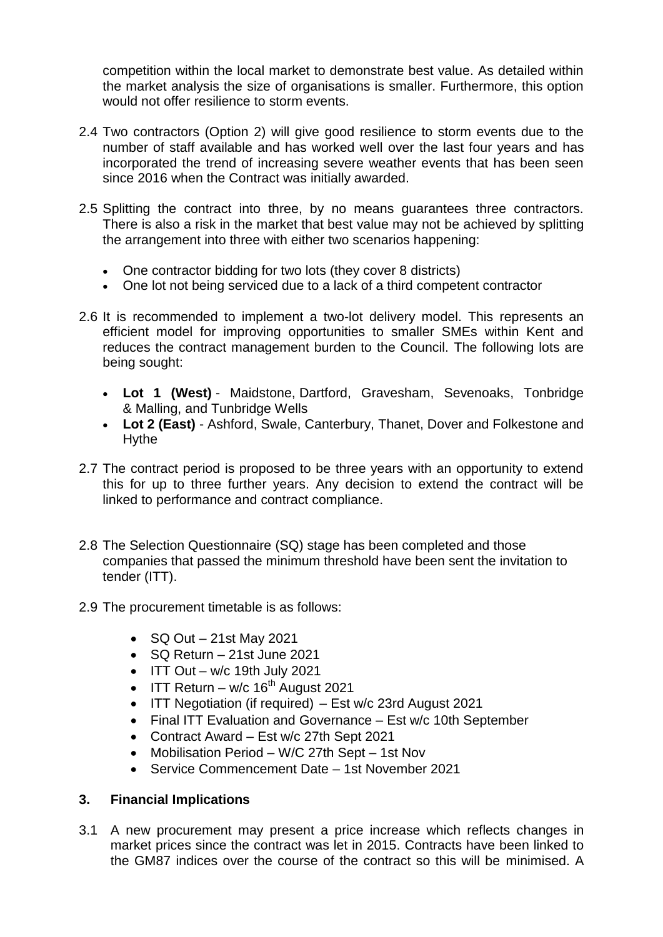competition within the local market to demonstrate best value. As detailed within the market analysis the size of organisations is smaller. Furthermore, this option would not offer resilience to storm events.

- 2.4 Two contractors (Option 2) will give good resilience to storm events due to the number of staff available and has worked well over the last four years and has incorporated the trend of increasing severe weather events that has been seen since 2016 when the Contract was initially awarded.
- 2.5 Splitting the contract into three, by no means guarantees three contractors. There is also a risk in the market that best value may not be achieved by splitting the arrangement into three with either two scenarios happening:
	- One contractor bidding for two lots (they cover 8 districts)
	- One lot not being serviced due to a lack of a third competent contractor
- 2.6 It is recommended to implement a two-lot delivery model. This represents an efficient model for improving opportunities to smaller SMEs within Kent and reduces the contract management burden to the Council. The following lots are being sought:
	- **Lot 1 (West)** Maidstone, Dartford, Gravesham, Sevenoaks, Tonbridge & Malling, and Tunbridge Wells
	- **Lot 2 (East)** Ashford, Swale, Canterbury, Thanet, Dover and Folkestone and Hythe
- 2.7 The contract period is proposed to be three years with an opportunity to extend this for up to three further years. Any decision to extend the contract will be linked to performance and contract compliance.
- 2.8 The Selection Questionnaire (SQ) stage has been completed and those companies that passed the minimum threshold have been sent the invitation to tender (ITT).
- 2.9 The procurement timetable is as follows:
	- $\bullet$  SQ Out 21st May 2021
	- SQ Return 21st June 2021
	- $\bullet$  ITT Out w/c 19th July 2021
	- $\bullet$  ITT Return w/c 16<sup>th</sup> August 2021
	- ITT Negotiation (if required) Est w/c 23rd August 2021
	- Final ITT Evaluation and Governance Est w/c 10th September
	- Contract Award Est w/c 27th Sept 2021
	- Mobilisation Period W/C 27th Sept 1st Nov
	- Service Commencement Date 1st November 2021

### **3. Financial Implications**

3.1 A new procurement may present a price increase which reflects changes in market prices since the contract was let in 2015. Contracts have been linked to the GM87 indices over the course of the contract so this will be minimised. A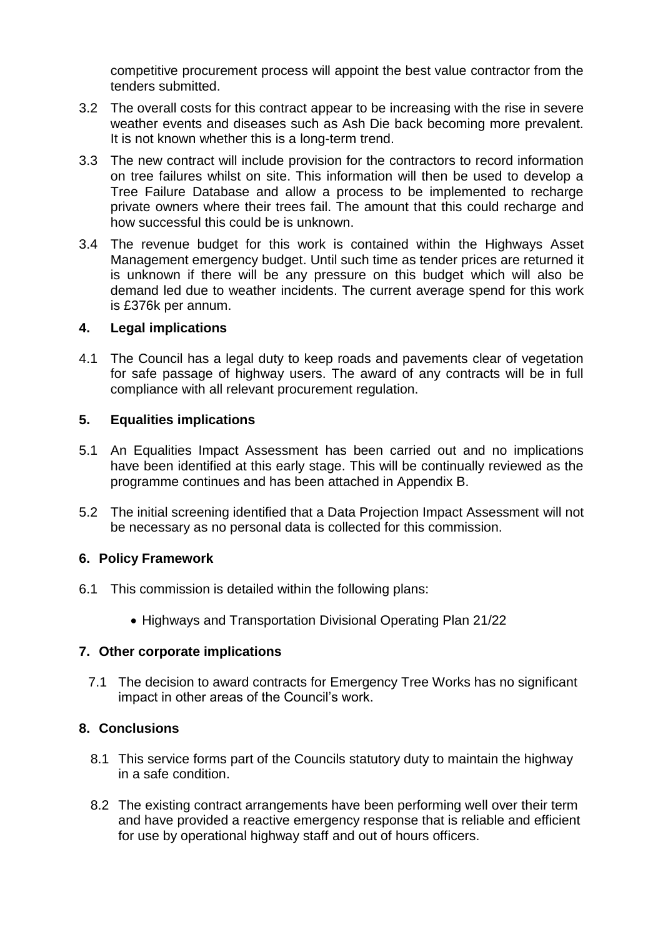competitive procurement process will appoint the best value contractor from the tenders submitted.

- 3.2 The overall costs for this contract appear to be increasing with the rise in severe weather events and diseases such as Ash Die back becoming more prevalent. It is not known whether this is a long-term trend.
- 3.3 The new contract will include provision for the contractors to record information on tree failures whilst on site. This information will then be used to develop a Tree Failure Database and allow a process to be implemented to recharge private owners where their trees fail. The amount that this could recharge and how successful this could be is unknown.
- 3.4 The revenue budget for this work is contained within the Highways Asset Management emergency budget. Until such time as tender prices are returned it is unknown if there will be any pressure on this budget which will also be demand led due to weather incidents. The current average spend for this work is £376k per annum.

### **4. Legal implications**

4.1 The Council has a legal duty to keep roads and pavements clear of vegetation for safe passage of highway users. The award of any contracts will be in full compliance with all relevant procurement regulation.

### **5. Equalities implications**

- 5.1 An Equalities Impact Assessment has been carried out and no implications have been identified at this early stage. This will be continually reviewed as the programme continues and has been attached in Appendix B.
- 5.2 The initial screening identified that a Data Projection Impact Assessment will not be necessary as no personal data is collected for this commission.

### **6. Policy Framework**

- 6.1 This commission is detailed within the following plans:
	- Highways and Transportation Divisional Operating Plan 21/22

### **7. Other corporate implications**

7.1 The decision to award contracts for Emergency Tree Works has no significant impact in other areas of the Council's work.

### **8. Conclusions**

- 8.1 This service forms part of the Councils statutory duty to maintain the highway in a safe condition.
- 8.2 The existing contract arrangements have been performing well over their term and have provided a reactive emergency response that is reliable and efficient for use by operational highway staff and out of hours officers.